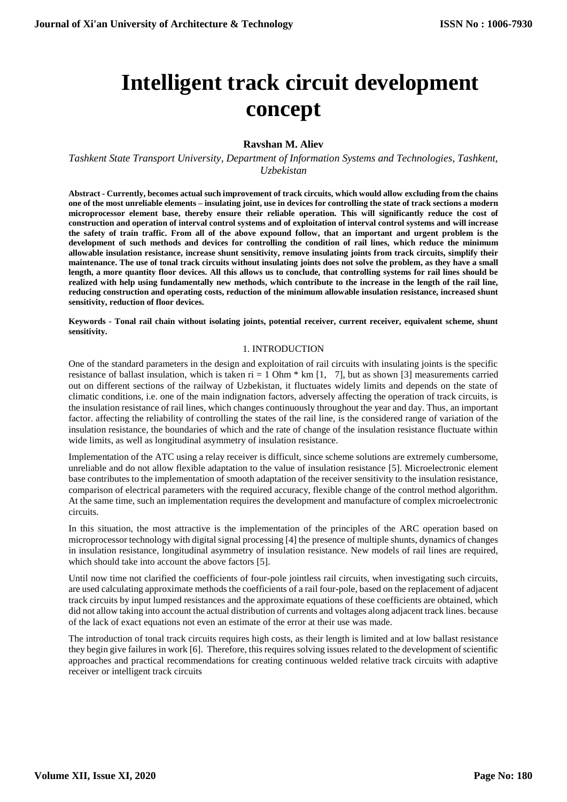# **Intelligent track circuit development concept**

## **Ravshan M. Aliev**

*Tashkent State Transport University, Department of Information Systems and Technologies, Tashkent, Uzbekistan*

**Abstract - Currently, becomes actual such improvement of track circuits, which would allow excluding from the chains one of the most unreliable elements – insulating joint, use in devices for controlling the state of track sections a modern microprocessor element base, thereby ensure their reliable operation. This will significantly reduce the cost of construction and operation of interval control systems and of exploitation of interval control systems and will increase the safety of train traffic. From all of the above expound follow, that an important and urgent problem is the development of such methods and devices for controlling the condition of rail lines, which reduce the minimum allowable insulation resistance, increase shunt sensitivity, remove insulating joints from track circuits, simplify their maintenance. The use of tonal track circuits without insulating joints does not solve the problem, as they have a small length, a more quantity floor devices. All this allows us to conclude, that controlling systems for rail lines should be realized with help using fundamentally new methods, which contribute to the increase in the length of the rail line, reducing construction and operating costs, reduction of the minimum allowable insulation resistance, increased shunt sensitivity, reduction of floor devices.**

**Keywords - Tonal rail chain without isolating joints, potential receiver, current receiver, equivalent scheme, shunt sensitivity.**

### 1. INTRODUCTION

One of the standard parameters in the design and exploitation of rail circuits with insulating joints is the specific resistance of ballast insulation, which is taken  $ri = 1$  Ohm  $*$  km [1, 7], but as shown [3] measurements carried out on different sections of the railway of Uzbekistan, it fluctuates widely limits and depends on the state of climatic conditions, i.e. one of the main indignation factors, adversely affecting the operation of track circuits, is the insulation resistance of rail lines, which changes continuously throughout the year and day. Thus, an important factor. affecting the reliability of controlling the states of the rail line, is the considered range of variation of the insulation resistance, the boundaries of which and the rate of change of the insulation resistance fluctuate within wide limits, as well as longitudinal asymmetry of insulation resistance.

Implementation of the ATC using a relay receiver is difficult, since scheme solutions are extremely cumbersome, unreliable and do not allow flexible adaptation to the value of insulation resistance [5]. Microelectronic element base contributes to the implementation of smooth adaptation of the receiver sensitivity to the insulation resistance, comparison of electrical parameters with the required accuracy, flexible change of the control method algorithm. At the same time, such an implementation requires the development and manufacture of complex microelectronic circuits.

In this situation, the most attractive is the implementation of the principles of the ARC operation based on microprocessor technology with digital signal processing [4] the presence of multiple shunts, dynamics of changes in insulation resistance, longitudinal asymmetry of insulation resistance. New models of rail lines are required, which should take into account the above factors [5].

Until now time not clarified the coefficients of four-pole jointless rail circuits, when investigating such circuits, are used calculating approximate methods the coefficients of a rail four-pole, based on the replacement of adjacent track circuits by input lumped resistances and the approximate equations of these coefficients are obtained, which did not allow taking into account the actual distribution of currents and voltages along adjacent track lines. because of the lack of exact equations not even an estimate of the error at their use was made.

The introduction of tonal track circuits requires high costs, as their length is limited and at low ballast resistance they begin give failures in work [6]. Therefore, this requires solving issues related to the development of scientific approaches and practical recommendations for creating continuous welded relative track circuits with adaptive receiver or intelligent track circuits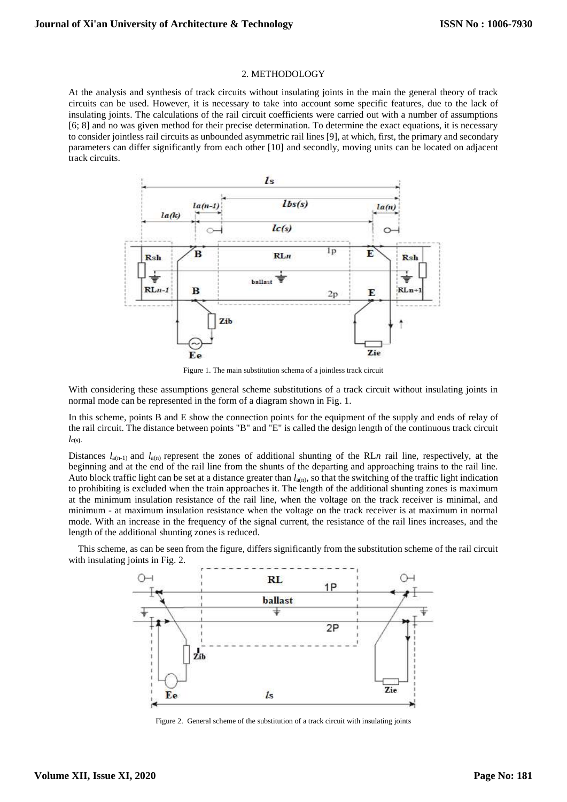#### 2. METHODOLOGY

At the analysis and synthesis of track circuits without insulating joints in the main the general theory of track circuits can be used. However, it is necessary to take into account some specific features, due to the lack of insulating joints. The calculations of the rail circuit coefficients were carried out with a number of assumptions [6; 8] and no was given method for their precise determination. To determine the exact equations, it is necessary to consider jointless rail circuits as unbounded asymmetric rail lines [9], at which, first, the primary and secondary parameters can differ significantly from each other [10] and secondly, moving units can be located on adjacent track circuits.



Figure 1. The main substitution schema of a jointless track circuit

With considering these assumptions general scheme substitutions of a track circuit without insulating joints in normal mode can be represented in the form of a diagram shown in Fig. 1.

In this scheme, points B and E show the connection points for the equipment of the supply and ends of relay of the rail circuit. The distance between points "B" and "E" is called the design length of the continuous track circuit  $l_{\mathbf{c}(s)}$ .

Distances  $l_{a(n-1)}$  and  $l_{a(n)}$  represent the zones of additional shunting of the RLn rail line, respectively, at the beginning and at the end of the rail line from the shunts of the departing and approaching trains to the rail line. Auto block traffic light can be set at a distance greater than  $l_{a(n)}$ , so that the switching of the traffic light indication to prohibiting is excluded when the train approaches it. The length of the additional shunting zones is maximum at the minimum insulation resistance of the rail line, when the voltage on the track receiver is minimal, and minimum - at maximum insulation resistance when the voltage on the track receiver is at maximum in normal mode. With an increase in the frequency of the signal current, the resistance of the rail lines increases, and the length of the additional shunting zones is reduced.

This scheme, as can be seen from the figure, differs significantly from the substitution scheme of the rail circuit with insulating joints in Fig. 2.



Figure 2. General scheme of the substitution of a track circuit with insulating joints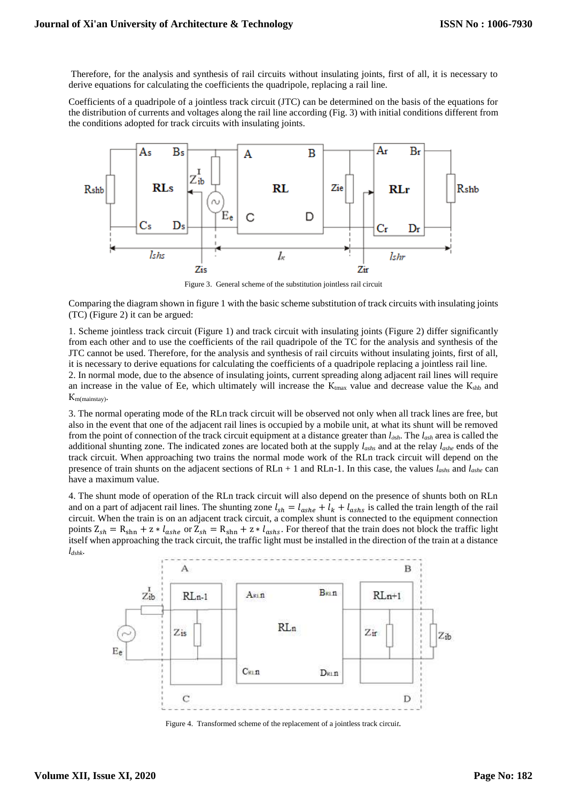Therefore, for the analysis and synthesis of rail circuits without insulating joints, first of all, it is necessary to derive equations for calculating the coefficients the quadripole, replacing a rail line.

Coefficients of a quadripole of a jointless track circuit (JTC) can be determined on the basis of the equations for the distribution of currents and voltages along the rail line according (Fig. 3) with initial conditions different from the conditions adopted for track circuits with insulating joints.



Figure 3. General scheme of the substitution jointless rail circuit

Comparing the diagram shown in figure 1 with the basic scheme substitution of track circuits with insulating joints (TC) (Figure 2) it can be argued:

1. Scheme jointless track circuit (Figure 1) and track circuit with insulating joints (Figure 2) differ significantly from each other and to use the coefficients of the rail quadripole of the TC for the analysis and synthesis of the JTC cannot be used. Therefore, for the analysis and synthesis of rail circuits without insulating joints, first of all, it is necessary to derive equations for calculating the coefficients of a quadripole replacing a jointless rail line.

2. In normal mode, due to the absence of insulating joints, current spreading along adjacent rail lines will require an increase in the value of Ee, which ultimately will increase the  $K<sub>tmax</sub>$  value and decrease value the  $K<sub>shb</sub>$  and Кm(mainstay).

3. The normal operating mode of the RLn track circuit will be observed not only when all track lines are free, but also in the event that one of the adjacent rail lines is occupied by a mobile unit, at what its shunt will be removed from the point of connection of the track circuit equipment at a distance greater than *lдsh*. The *lash* area is called the additional shunting zone. The indicated zones are located both at the supply *lashs* and at the relay *lashe* ends of the track circuit. When approaching two trains the normal mode work of the RLn track circuit will depend on the presence of train shunts on the adjacent sections of RLn + 1 and RLn-1. In this case, the values *lashs* and *lashe* can have a maximum value.

4. The shunt mode of operation of the RLn track circuit will also depend on the presence of shunts both on RLn and on a part of adjacent rail lines. The shunting zone  $l_{sh} = l_{ashe} + l_k + l_{ashs}$  is called the train length of the rail circuit. When the train is on an adjacent track circuit, a complex shunt is connected to the equipment connection points  $Z_{sh} = R_{shn} + z * l_{ashe}$  or  $Z_{sh} = R_{shn} + z * l_{ashs}$ . For thereof that the train does not block the traffic light itself when approaching the track circuit, the traffic light must be installed in the direction of the train at a distance *ldshk*.



Figure 4. Transformed scheme of the replacement of a jointless track circui*t.*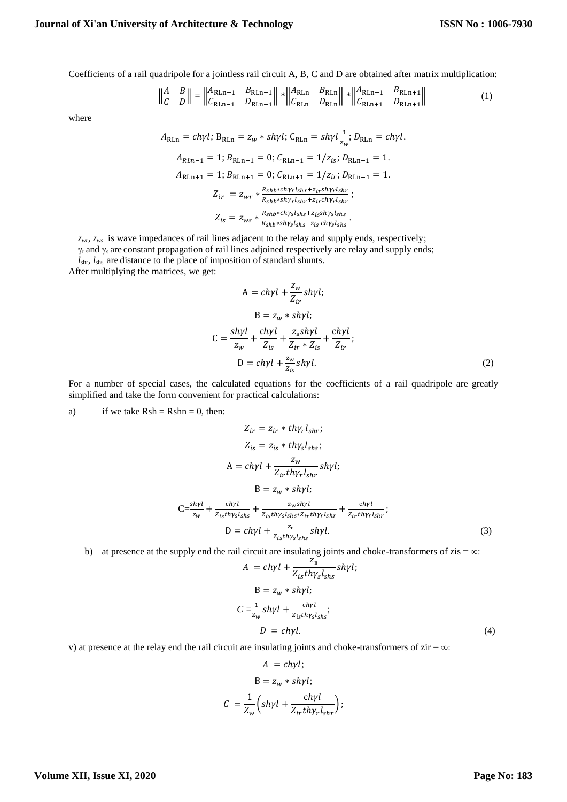Coefficients of a rail quadripole for a jointless rail circuit A, B, C and D are obtained after matrix multiplication:

$$
\left\| \begin{matrix} A & B \\ C & D \end{matrix} \right\| = \left\| \begin{matrix} A_{\text{RLn}-1} & B_{\text{RLn}-1} \\ C_{\text{RLn}-1} & D_{\text{RLn}-1} \end{matrix} \right\| * \left\| \begin{matrix} A_{\text{RLn}} & B_{\text{RLn}} \\ C_{\text{RLn}} & D_{\text{RLn}} \end{matrix} \right\| * \left\| \begin{matrix} A_{\text{RLn}+1} & B_{\text{RLn}+1} \\ C_{\text{RLn}+1} & D_{\text{RLn}+1} \end{matrix} \right\| \tag{1}
$$

where

$$
A_{\text{RLn}} = ch\gamma l; B_{\text{RLn}} = z_w * sh\gamma l; C_{\text{RLn}} = sh\gamma l \frac{1}{z_w}; D_{\text{RLn}} = ch\gamma l.
$$
  
\n
$$
A_{\text{RLn}-1} = 1; B_{\text{RLn}-1} = 0; C_{\text{RLn}-1} = 1/z_{is}; D_{\text{RLn}-1} = 1.
$$
  
\n
$$
A_{\text{RLn}+1} = 1; B_{\text{RLn}+1} = 0; C_{\text{RLn}+1} = 1/z_{ir}; D_{\text{RLn}+1} = 1.
$$
  
\n
$$
Z_{ir} = z_{wr} * \frac{R_{shb} * ch\gamma r l_{shr} + z_{ir} sh\gamma r l_{shr}}{R_{shb} * sh\gamma r l_{shr} + z_{ir} ch\gamma r l_{shr}};
$$
  
\n
$$
Z_{is} = z_{ws} * \frac{R_{shb} * ch\gamma s l_{shs} + z_{is} sh\gamma s l_{shs}}{R_{shb} * sh\gamma s l_{shs} + z_{is} ch\gamma s l_{shs}}.
$$

*zwr*, *zws* is wave impedances of rail lines adjacent to the relay and supply ends, respectively;

γ<sup>r</sup> and γ<sup>s</sup> are constant propagation of rail lines adjoined respectively are relay and supply ends;

*l*shr, *l*shs are distance to the place of imposition of standard shunts.

After multiplying the matrices, we get:

$$
A = ch\gamma l + \frac{z_w}{Z_{ir}} sh\gamma l;
$$
  
\n
$$
B = z_w * sh\gamma l;
$$
  
\n
$$
C = \frac{sh\gamma l}{z_w} + \frac{ch\gamma l}{Z_{is}} + \frac{z_s sh\gamma l}{Z_{ir} * Z_{is}} + \frac{ch\gamma l}{Z_{ir}};
$$
  
\n
$$
D = ch\gamma l + \frac{z_w}{Z_{is}} sh\gamma l.
$$
\n(2)

For a number of special cases, the calculated equations for the coefficients of a rail quadripole are greatly simplified and take the form convenient for practical calculations:

a) if we take  $Rsh = Rshn = 0$ , then:

$$
Z_{ir} = z_{ir} * th\gamma_r l_{shr};
$$
  
\n
$$
Z_{is} = z_{is} * th\gamma_s l_{shs};
$$
  
\n
$$
A = ch\gamma l + \frac{z_w}{Z_{ir}th\gamma_r l_{shr}} sh\gamma l;
$$
  
\n
$$
B = z_w * sh\gamma l;
$$
  
\n
$$
C = \frac{sh\gamma l}{z_w} + \frac{ch\gamma l}{Z_{is}th\gamma_s l_{shs}} + \frac{z_w sh\gamma l}{Z_{is}th\gamma_s l_{shs} * Z_{ir}th\gamma_r l_{shr}} + \frac{ch\gamma l}{Z_{ir}th\gamma_r l_{shr}};
$$
  
\n
$$
D = ch\gamma l + \frac{z_s}{Z_{is}th\gamma_s l_{shs}} sh\gamma l.
$$
  
\n(3)

#### b) at presence at the supply end the rail circuit are insulating joints and choke-transformers of zis =  $\infty$ :

$$
A = ch\gamma l + \frac{z_{\rm B}^{C}}{Z_{is}th\gamma_{s}l_{shs}}sh\gamma l;
$$
  
\n
$$
B = z_{\rm w} * sh\gamma l;
$$
  
\n
$$
C = \frac{1}{z_{\rm w}} sh\gamma l + \frac{ch\gamma l}{Z_{is}th\gamma_{s}l_{shs}};
$$
  
\n
$$
D = ch\gamma l.
$$
 (4)

v) at presence at the relay end the rail circuit are insulating joints and choke-transformers of  $zir = ∞$ :

$$
A = ch\gamma l;
$$
  
\n
$$
B = z_w * sh\gamma l;
$$
  
\n
$$
C = \frac{1}{Z_w} \left( sh\gamma l + \frac{ch\gamma l}{Z_{ir} th\gamma_r l_{shr}} \right);
$$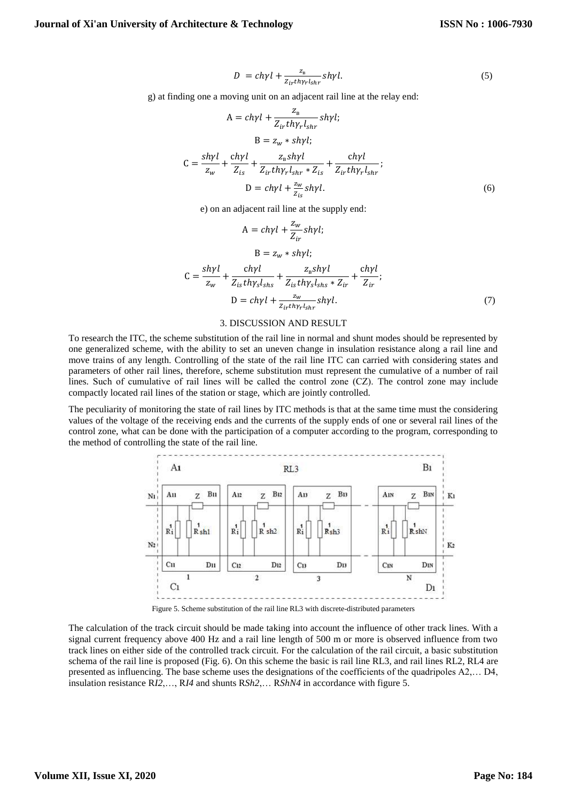$$
D = ch\gamma l + \frac{z_{\rm B}}{z_{ir}t h\gamma_r l_{shr}} sh\gamma l. \tag{5}
$$

g) at finding one a moving unit on an adjacent rail line at the relay end:

$$
A = ch\gamma l + \frac{z_{\rm B}}{Z_{ir}th\gamma_r l_{shr}} sh\gamma l;
$$
  
\n
$$
B = z_w * sh\gamma l;
$$
  
\n
$$
C = \frac{sh\gamma l}{z_w} + \frac{ch\gamma l}{Z_{is}} + \frac{z_{\rm B}sh\gamma l}{Z_{ir}th\gamma_r l_{shr} * Z_{is}} + \frac{ch\gamma l}{Z_{ir}th\gamma_r l_{shr}};
$$
  
\n
$$
D = ch\gamma l + \frac{z_w}{Z_{is}} sh\gamma l.
$$
 (6)

e) on an adjacent rail line at the supply end:

$$
A = ch\gamma l + \frac{z_w}{Z_{ir}} sh\gamma l;
$$
  
\n
$$
B = z_w * sh\gamma l;
$$
  
\n
$$
C = \frac{sh\gamma l}{z_w} + \frac{ch\gamma l}{Z_{is}th\gamma_s l_{shs}} + \frac{z_{ns}sh\gamma l}{Z_{is}th\gamma_s l_{shs} * Z_{ir}} + \frac{ch\gamma l}{Z_{ir}};
$$
  
\n
$$
D = ch\gamma l + \frac{z_w}{z_{ir}th\gamma_r l_{shr}} sh\gamma l.
$$
\n(7)

#### 3. DISCUSSION AND RESULT

To research the ITC, the scheme substitution of the rail line in normal and shunt modes should be represented by one generalized scheme, with the ability to set an uneven change in insulation resistance along a rail line and move trains of any length. Controlling of the state of the rail line ITC can carried with considering states and parameters of other rail lines, therefore, scheme substitution must represent the cumulative of a number of rail lines. Such of cumulative of rail lines will be called the control zone (СZ). The control zone may include compactly located rail lines of the station or stage, which are jointly controlled.

The peculiarity of monitoring the state of rail lines by ITC methods is that at the same time must the considering values of the voltage of the receiving ends and the currents of the supply ends of one or several rail lines of the control zone, what can be done with the participation of a computer according to the program, corresponding to the method of controlling the state of the rail line.



Figure 5. Scheme substitution of the rail line RL3 with discrete-distributed parameters

The calculation of the track circuit should be made taking into account the influence of other track lines. With a signal current frequency above 400 Hz and a rail line length of 500 m or more is observed influence from two track lines on either side of the controlled track circuit. For the calculation of the rail circuit, a basic substitution schema of the rail line is proposed (Fig. 6). On this scheme the basic is rail line RL3, and rail lines RL2, RL4 are presented as influencing. The base scheme uses the designations of the coefficients of the quadripoles A2,… D4, insulation resistance R*I2*,…, R*I4* and shunts R*Sh2*,… R*ShN4* in accordance with figure 5.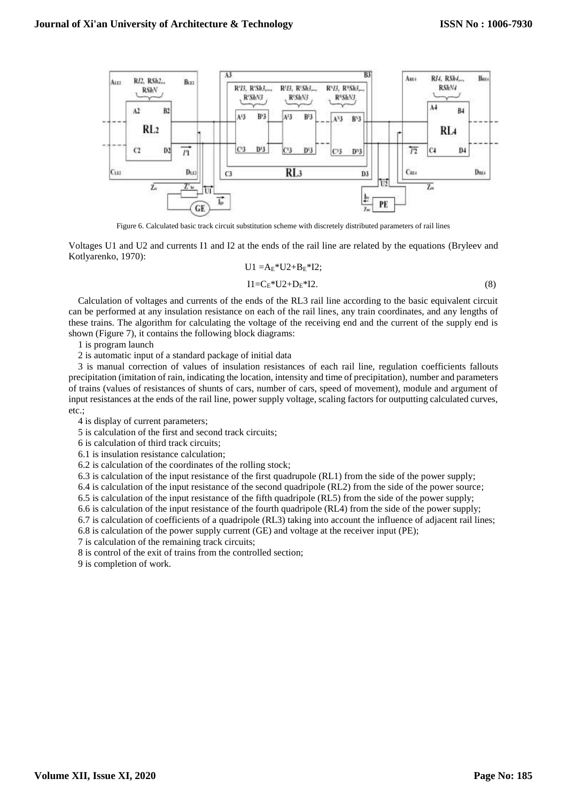

Figure 6. Calculated basic track circuit substitution scheme with discretely distributed parameters of rail lines

Voltages U1 and U2 and currents I1 and I2 at the ends of the rail line are related by the equations (Bryleev and Kotlyarenko, 1970):

$$
U1 = AE*U2 + BE*I2;
$$
  
\n
$$
I1 = CE*U2 + DE*I2.
$$
 (8)

Calculation of voltages and currents of the ends of the RL3 rail line according to the basic equivalent circuit can be performed at any insulation resistance on each of the rail lines, any train coordinates, and any lengths of these trains. The algorithm for calculating the voltage of the receiving end and the current of the supply end is shown (Figure 7), it contains the following block diagrams:

1 is program launch

2 is automatic input of a standard package of initial data

3 is manual correction of values of insulation resistances of each rail line, regulation coefficients fallouts precipitation (imitation of rain, indicating the location, intensity and time of precipitation), number and parameters of trains (values of resistances of shunts of cars, number of cars, speed of movement), module and argument of input resistances at the ends of the rail line, power supply voltage, scaling factors for outputting calculated curves, etc.;

4 is display of current parameters;

5 is calculation of the first and second track circuits;

6 is calculation of third track circuits;

6.1 is insulation resistance calculation;

6.2 is calculation of the coordinates of the rolling stock;

6.3 is calculation of the input resistance of the first quadrupole (RL1) from the side of the power supply;

6.4 is calculation of the input resistance of the second quadripole (RL2) from the side of the power source;

6.5 is calculation of the input resistance of the fifth quadripole (RL5) from the side of the power supply;

6.6 is calculation of the input resistance of the fourth quadripole (RL4) from the side of the power supply;

6.7 is calculation of coefficients of a quadripole (RL3) taking into account the influence of adjacent rail lines;

6.8 is calculation of the power supply current (GE) and voltage at the receiver input (PE);

7 is calculation of the remaining track circuits;

8 is control of the exit of trains from the controlled section;

9 is completion of work.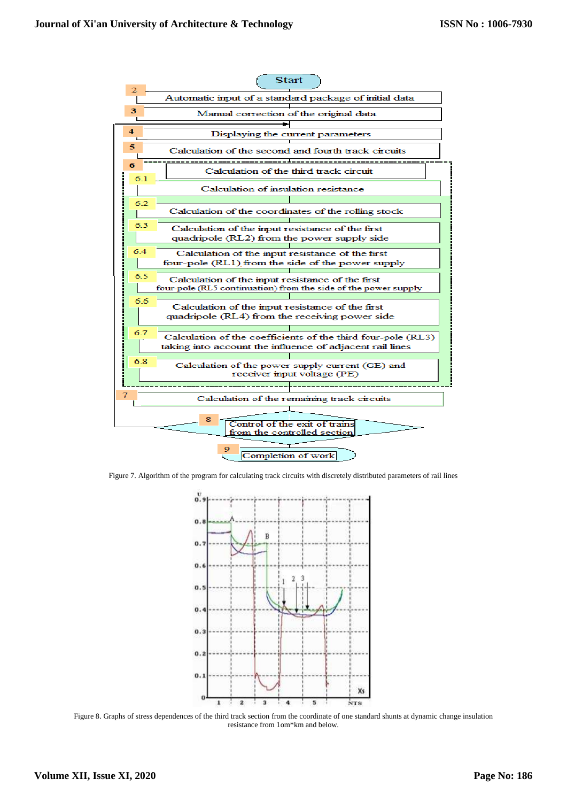

Figure 7. Algorithm of the program for calculating track circuits with discretely distributed parameters of rail lines



Figure 8. Graphs of stress dependences of the third track section from the coordinate of one standard shunts at dynamic change insulation resistance from 1om\*km and below.